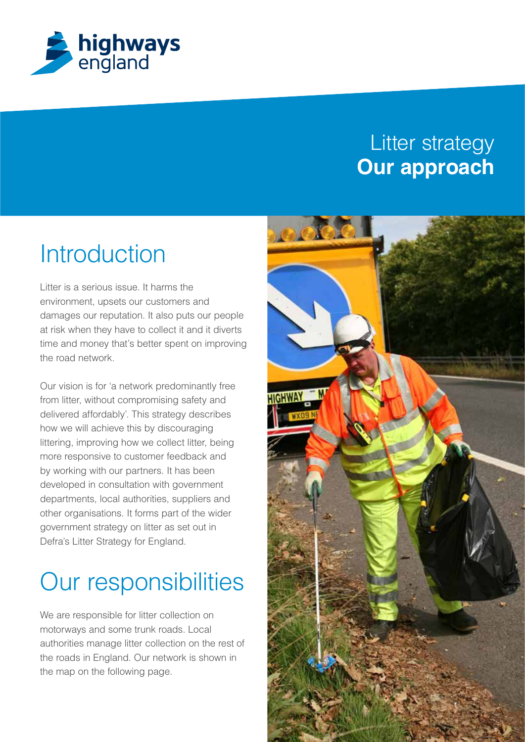

## Litter strategy **Our approach**

# **Introduction**

Litter is a serious issue. It harms the environment, upsets our customers and damages our reputation. It also puts our people at risk when they have to collect it and it diverts time and money that's better spent on improving the road network.

Our vision is for 'a network predominantly free from litter, without compromising safety and delivered affordably'. This strategy describes how we will achieve this by discouraging littering, improving how we collect litter, being more responsive to customer feedback and by working with our partners. It has been developed in consultation with government departments, local authorities, suppliers and other organisations. It forms part of the wider government strategy on litter as set out in Defra's Litter Strategy for England.

# Our responsibilities

We are responsible for litter collection on motorways and some trunk roads. Local authorities manage litter collection on the rest of the roads in England. Our network is shown in the map on the following page.

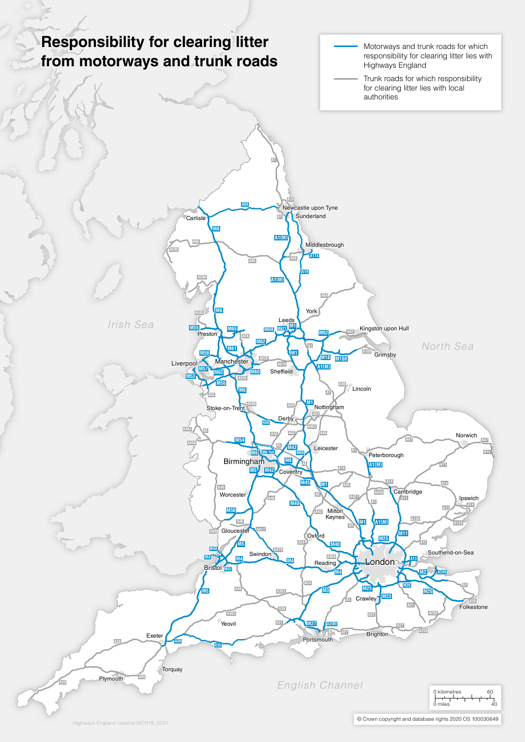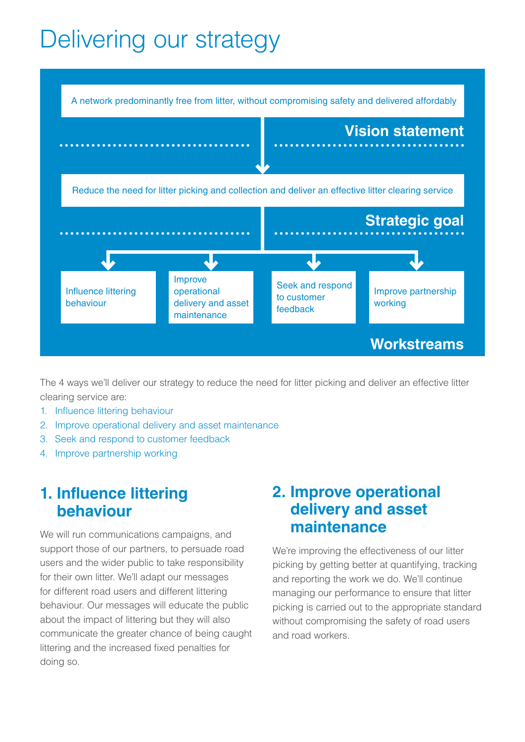# Delivering our strategy



The 4 ways we'll deliver our strategy to reduce the need for litter picking and deliver an effective litter clearing service are:

- 1. Influence littering behaviour
- 2. Improve operational delivery and asset maintenance
- 3. Seek and respond to customer feedback
- 4. Improve partnership working

#### **1. Influence littering behaviour**

We will run communications campaigns, and support those of our partners, to persuade road users and the wider public to take responsibility for their own litter. We'll adapt our messages for different road users and different littering behaviour. Our messages will educate the public about the impact of littering but they will also communicate the greater chance of being caught littering and the increased fixed penalties for doing so.

### **2. Improve operational delivery and asset maintenance**

We're improving the effectiveness of our litter picking by getting better at quantifying, tracking and reporting the work we do. We'll continue managing our performance to ensure that litter picking is carried out to the appropriate standard without compromising the safety of road users and road workers.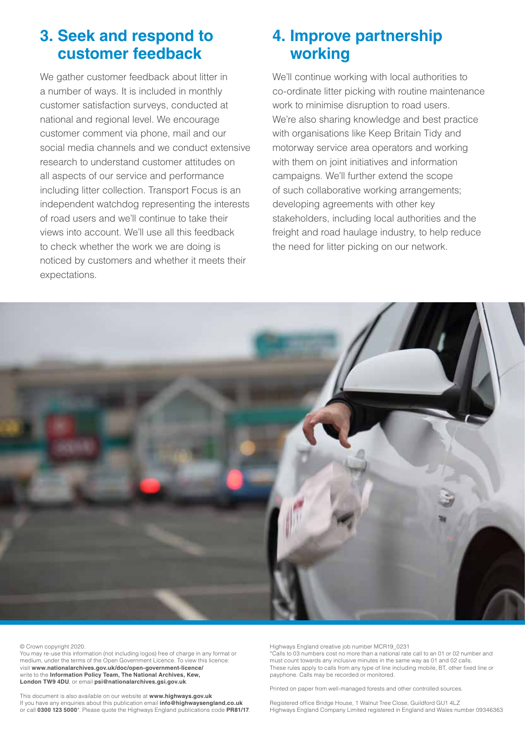### **3. Seek and respond to customer feedback**

We gather customer feedback about litter in a number of ways. It is included in monthly customer satisfaction surveys, conducted at national and regional level. We encourage customer comment via phone, mail and our social media channels and we conduct extensive research to understand customer attitudes on all aspects of our service and performance including litter collection. Transport Focus is an independent watchdog representing the interests of road users and we'll continue to take their views into account. We'll use all this feedback to check whether the work we are doing is noticed by customers and whether it meets their expectations.

### **4. Improve partnership working**

We'll continue working with local authorities to co-ordinate litter picking with routine maintenance work to minimise disruption to road users. We're also sharing knowledge and best practice with organisations like Keep Britain Tidy and motorway service area operators and working with them on joint initiatives and information campaigns. We'll further extend the scope of such collaborative working arrangements; developing agreements with other key stakeholders, including local authorities and the freight and road haulage industry, to help reduce the need for litter picking on our network.



© Crown copyright 2020.

You may re-use this information (not including logos) free of charge in any format or medium, under the terms of the Open Government Licence. To view this licence: visit **www.nationalarchives.gov.uk/doc/open-government-licence/** write to the **Information Policy Team, The National Archives, Kew, London TW9 4DU**, or email **psi@nationalarchives.gsi.gov.uk**.

This document is also available on our website at **www.highways.gov.uk** If you have any enquiries about this publication email **info@highwaysengland.co.uk** or call **0300 123 5000**\*. Please quote the Highways England publications code **PR81/17**. Highways England creative job number MCR19\_0231

\*Calls to 03 numbers cost no more than a national rate call to an 01 or 02 number and must count towards any inclusive minutes in the same way as 01 and 02 calls. These rules apply to calls from any type of line including mobile, BT, other fixed line or payphone. Calls may be recorded or monitored.

Printed on paper from well-managed forests and other controlled sources.

Registered office Bridge House, 1 Walnut Tree Close, Guildford GU1 4LZ Highways England Company Limited registered in England and Wales number 09346363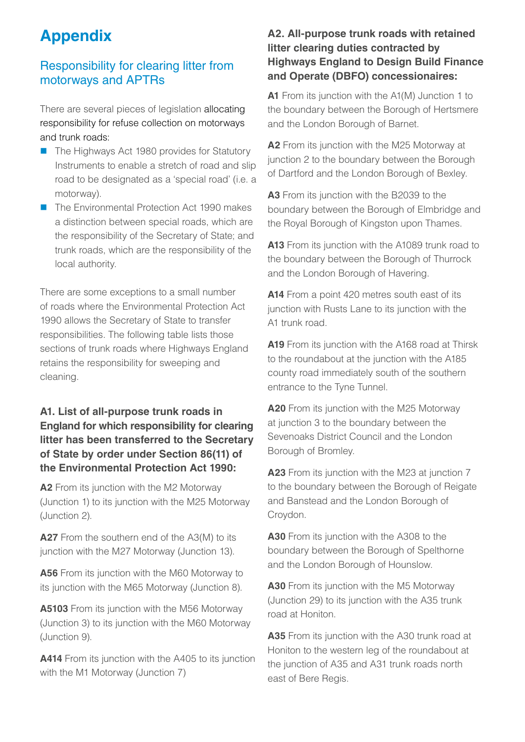## **Appendix**

#### Responsibility for clearing litter from motorways and APTRs

There are several pieces of legislation allocating responsibility for refuse collection on motorways and trunk roads:

- The Highways Act 1980 provides for Statutory Instruments to enable a stretch of road and slip road to be designated as a 'special road' (i.e. a motorway).
- The Environmental Protection Act 1990 makes a distinction between special roads, which are the responsibility of the Secretary of State; and trunk roads, which are the responsibility of the local authority.

There are some exceptions to a small number of roads where the Environmental Protection Act 1990 allows the Secretary of State to transfer responsibilities. The following table lists those sections of trunk roads where Highways England retains the responsibility for sweeping and cleaning.

#### **A1. List of all-purpose trunk roads in England for which responsibility for clearing litter has been transferred to the Secretary of State by order under Section 86(11) of the Environmental Protection Act 1990:**

**A2** From its junction with the M2 Motorway (Junction 1) to its junction with the M25 Motorway (Junction 2).

**A27** From the southern end of the A3(M) to its junction with the M27 Motorway (Junction 13).

**A56** From its junction with the M60 Motorway to its junction with the M65 Motorway (Junction 8).

**A5103** From its junction with the M56 Motorway (Junction 3) to its junction with the M60 Motorway (Junction 9).

**A414** From its junction with the A405 to its junction with the M1 Motorway (Junction 7)

#### **A2. All-purpose trunk roads with retained litter clearing duties contracted by Highways England to Design Build Finance and Operate (DBFO) concessionaires:**

**A1** From its junction with the A1(M) Junction 1 to the boundary between the Borough of Hertsmere and the London Borough of Barnet.

**A2** From its junction with the M25 Motorway at junction 2 to the boundary between the Borough of Dartford and the London Borough of Bexley.

**A3** From its junction with the B2039 to the boundary between the Borough of Elmbridge and the Royal Borough of Kingston upon Thames.

**A13** From its junction with the A1089 trunk road to the boundary between the Borough of Thurrock and the London Borough of Havering.

**A14** From a point 420 metres south east of its junction with Rusts Lane to its junction with the A1 trunk road.

**A19** From its junction with the A168 road at Thirsk to the roundabout at the junction with the A185 county road immediately south of the southern entrance to the Tyne Tunnel.

**A20** From its junction with the M25 Motorway at junction 3 to the boundary between the Sevenoaks District Council and the London Borough of Bromley.

**A23** From its junction with the M23 at junction 7 to the boundary between the Borough of Reigate and Banstead and the London Borough of Croydon.

**A30** From its junction with the A308 to the boundary between the Borough of Spelthorne and the London Borough of Hounslow.

**A30** From its junction with the M5 Motorway (Junction 29) to its junction with the A35 trunk road at Honiton.

**A35** From its junction with the A30 trunk road at Honiton to the western leg of the roundabout at the junction of A35 and A31 trunk roads north east of Bere Regis.